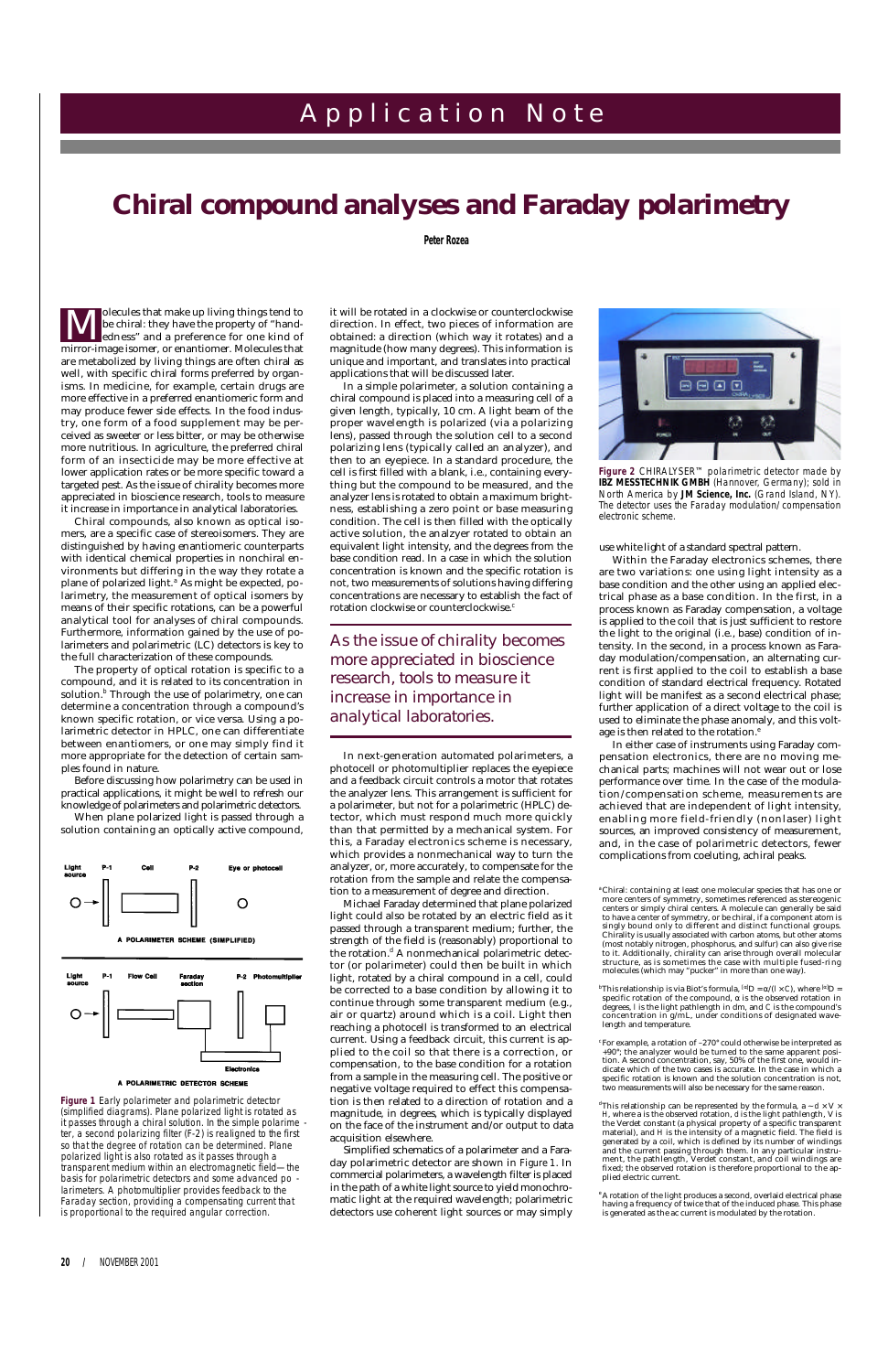olecules that make up living things tend to be chiral: they have the property of "handedness" and a preference for one kind of **Markor Schools Schools Schools**<br>Le chiral: they have the property of "hand-<br>edness" and a preference for one kind of<br>mirror-image isomer, or enantiomer. Molecules that are metabolized by living things are often chiral as well, with specific chiral forms preferred by organisms. In medicine, for example, certain drugs are more effective in a preferred enantiomeric form and may produce fewer side effects. In the food industry, one form of a food supplement may be perceived as sweeter or less bitter, or may be otherwise more nutritious. In agriculture, the preferred chiral form of an insecticide may be more effective at lower application rates or be more specific toward a targeted pest. As the issue of chirality becomes more appreciated in bioscience research, tools to measure it increase in importance in analytical laboratories.

Chiral compounds, also known as optical isomers, are a specific case of stereoisomers. They are distinguished by having enantiomeric counterparts with identical chemical properties in nonchiral environments but differing in the way they rotate a plane of polarized light.*<sup>a</sup>* As might be expected, polarimetry, the measurement of optical isomers by means of their specific rotations, can be a powerful analytical tool for analyses of chiral compounds. Furthermore, information gained by the use of polarimeters and polarimetric (LC) detectors is key to the full characterization of these compounds.

In a simple polarimeter, a solution containing a chiral compound is placed into a measuring cell of a given length, typically, 10 cm. A light beam of the proper wavelength is polarized (via a polarizing lens), passed through the solution cell to a second polarizing lens (typically called an analyzer), and then to an eyepiece. In a standard procedure, the cell is first filled with a blank, i.e., containing everything but the compound to be measured, and the analyzer lens is rotated to obtain a maximum brightness, establishing a zero point or base measuring condition. The cell is then filled with the optically active solution, the analzyer rotated to obtain an equivalent light intensity, and the degrees from the base condition read. In a case in which the solution concentration is known and the specific rotation is not, two measurements of solutions having differing concentrations are necessary to establish the fact of rotation clockwise or counterclockwise.<sup>c</sup>

The property of optical rotation is specific to a compound, and it is related to its concentration in solution.<sup>*b*</sup> Through the use of polarimetry, one can determine a concentration through a compound's known specific rotation, or vice versa. Using a polarimetric detector in HPLC, one can differentiate between enantiomers, or one may simply find it more appropriate for the detection of certain samples found in nature.

Before discussing how polarimetry can be used in practical applications, it might be well to refresh our knowledge of polarimeters and polarimetric detectors.

When plane polarized light is passed through a solution containing an optically active compound,



**20 /** NOVEMBER 2001

## A p p l i c a t i o n N o t e

# *Chiral compound analyses and Faraday polarimetry*

**Peter Rozea**

it will be rotated in a clockwise or counterclockwise direction. In effect, two pieces of information are obtained: a direction (which way it rotates) and a magnitude (how many degrees). This information is unique and important, and translates into practical applications that will be discussed later.

In next-generation automated polarimeters, a photocell or photomultiplier replaces the eyepiece and a feedback circuit controls a motor that rotates the analyzer lens. This arrangement is sufficient for a polarimeter, but not for a polarimetric (HPLC) detector, which must respond much more quickly than that permitted by a mechanical system. For this, a Faraday electronics scheme is necessary, which provides a nonmechanical way to turn the analyzer, or, more accurately, to compensate for the rotation from the sample and relate the compensation to a measurement of degree and direction.



Figure 2 CHIRALYSER™ polarimetric detector made by *IBZ MESSTECHNIK GMBH (Hannover, Germany); sold in North America by JM Science, Inc. (Grand Island, NY). The detector uses the Faraday modulation/compensation electronic scheme.*

Michael Faraday determined that plane polarized light could also be rotated by an electric field as it passed through a transparent medium; further, the strength of the field is (reasonably) proportional to the rotation.*<sup>d</sup>* A nonmechanical polarimetric detector (or polarimeter) could then be built in which light, rotated by a chiral compound in a cell, could be corrected to a base condition by allowing it to continue through some transparent medium (e.g., air or quartz) around which is a coil. Light then reaching a photocell is transformed to an electrical current. Using a feedback circuit, this current is applied to the coil so that there is a correction, or compensation, to the base condition for a rotation from a sample in the measuring cell. The positive or negative voltage required to effect this compensation is then related to a direction of rotation and a magnitude, in degrees, which is typically displayed on the face of the instrument and/or output to data acquisition elsewhere. Simplified schematics of a polarimeter and a Faraday polarimetric detector are shown in *Figure 1*. In commercial polarimeters, a wavelength filter is placed in the path of a white light source to yield monochromatic light at the required wavelength; polarimetric detectors use coherent light sources or may simply

<sup>*d*</sup>This relationship can be represented by the formula, a  $\sim d \times V$   $\times$ *H*, where a is the observed rotation, *d* is the light pathlength, V is the Verdet constant (a physical property of a specific transparent material), and *H* is the intensity of a magnetic field. The field is generated by a coil, which is defined by its number of windings and the current passing through them. In any particular instrument, the pathlength, Verdet constant, and coil windings are fixed; the observed rotation is therefore proportional to the applied electric current.

use white light of a standard spectral pattern.

Within the Faraday electronics schemes, there are two variations: one using light intensity as a base condition and the other using an applied electrical phase as a base condition. In the first, in a process known as Faraday compensation, a voltage is applied to the coil that is just sufficient to restore the light to the original (i.e., base) condition of intensity. In the second, in a process known as Faraday modulation/compensation, an alternating current is first applied to the coil to establish a base condition of standard electrical frequency. Rotated light will be manifest as a second electrical phase; further application of a direct voltage to the coil is used to eliminate the phase anomaly, and this voltage is then related to the rotation.*<sup>e</sup>*

In either case of instruments using Faraday compensation electronics, there are no moving mechanical parts; machines will not wear out or lose performance over time. In the case of the modulation/compensation scheme, measurements are achieved that are independent of light intensity, enabling more field-friendly (nonlaser) light sources, an improved consistency of measurement, and, in the case of polarimetric detectors, fewer complications from coeluting, achiral peaks.

*As the issue of chirality becomes more appreciated in bioscience research, tools to measure it increase in importance in analytical laboratories.*

**Figure 1** *Early polarimeter and polarimetric detector (simplified diagrams). Plane polarized light is rotated as it passes through a chiral solution. In the simple polarime ter, a second polarizing filter (F-2) is realigned to the first so that the degree of rotation can be determined. Plane polarized light is also rotated as it passes through a transparent medium within an electromagnetic field—the basis for polarimetric detectors and some advanced po larimeters. A photomultiplier provides feedback to the Faraday section, providing a compensating current that is proportional to the required angular correction.*



#### A POLARIMETRIC DETECTOR SCHEME

concentration in g/mL, under conditions of designated wavelength and temperature.

*c* For example, a rotation of –270° could otherwise be interpreted as +90°; the analyzer would be turned to the same apparent position. A second concentration, say, 50% of the first one, would indicate which of the two cases is accurate. In the case in which a specific rotation is known and the solution concentration is not, two measurements will also be necessary for the same reason.

*<sup>e</sup>*A rotation of the light produces a second, overlaid electrical phase having a frequency of twice that of the induced phase. This phase is generated as the ac current is modulated by the rotation.

*<sup>a</sup>*Chiral: containing at least one molecular species that has one or more centers of symmetry, sometimes referenced as stereogenic centers or simply chiral centers. A molecule can generally be said to have a center of symmetry, or be chiral, if a component atom is singly bound only to different and distinct functional groups. Chirality is usually associated with carbon atoms, but other atoms (most notably nitrogen, phosphorus, and sulfur) can also give rise to it. Additionally, chirality can arise through overall molecular structure, as is sometimes the case with multiple fused-ring molecules (which may "pucker" in more than one way).

*b*This relationship is via Biot's formula,  $[\alpha]$ D =  $\alpha/(I \times C)$ , where  $[\alpha]$ D = specific rotation of the compound,  $\alpha$  is the observed rotation in  $\alpha$  are  $\alpha$  is the light pathlength in dm, and  $\alpha$  is the compound's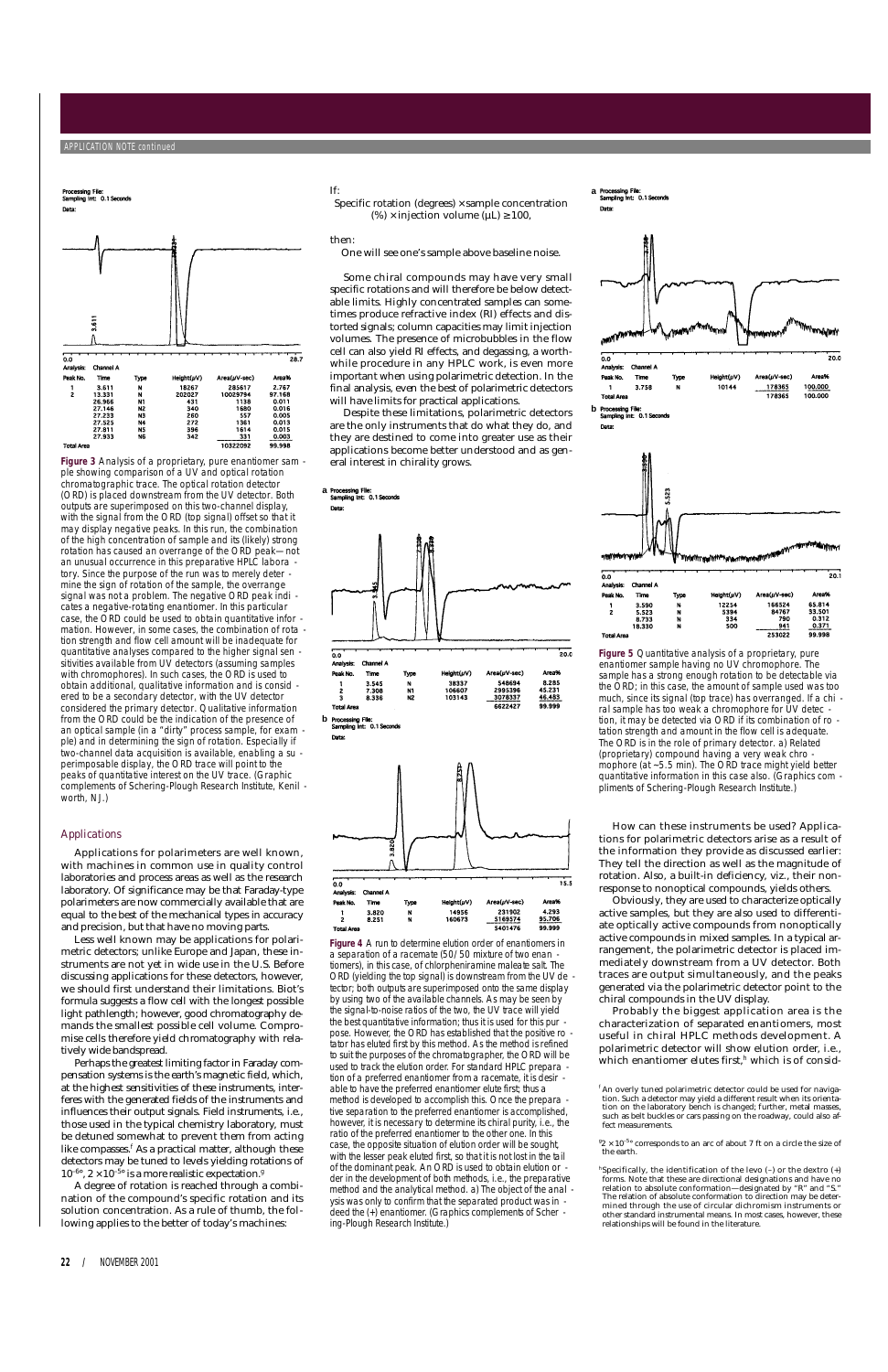### *Applications*

Less well known may be applications for polarimetric detectors; unlike Europe and Japan, these instruments are not yet in wide use in the U.S. Before discussing applications for these detectors, however, we should first understand their limitations. Biot's formula suggests a flow cell with the longest possible light pathlength; however, good chromatography demands the smallest possible cell volume. Compromise cells therefore yield chromatography with relatively wide bandspread. Perhaps the greatest limiting factor in Faraday compensation systems is the earth's magnetic field, which, at the highest sensitivities of these instruments, interferes with the generated fields of the instruments and influences their output signals. Field instruments, i.e., those used in the typical chemistry laboratory, must be detuned somewhat to prevent them from acting like compasses.<sup>*f*</sup> As a practical matter, although these detectors may be tuned to levels yielding rotations of  $10^{-6\circ}$ ,  $2 \times 10^{-5\circ}$  is a more realistic expectation.<sup>*g*</sup>

Applications for polarimeters are well known, with machines in common use in quality control laboratories and process areas as well as the research laboratory. Of significance may be that Faraday-type polarimeters are now commercially available that are equal to the best of the mechanical types in accuracy and precision, but that have no moving parts.

A degree of rotation is reached through a combination of the compound's specific rotation and its solution concentration. As a rule of thumb, the following applies to the better of today's machines:

**22 /** NOVEMBER 2001

#### If:

Specific rotation (degrees)  $\times$  sample concentration (%)  $\times$  injection volume ( $\mu$ L)  $\geq$  100,

> Probably the biggest application area is the characterization of separated enantiomers, most useful in chiral HPLC methods development. A polarimetric detector will show elution order, i.e., which enantiomer elutes first,<sup>h</sup> which is of consid-

then:

One will see one's sample above baseline noise.

Some chiral compounds may have very small specific rotations and will therefore be below detectable limits. Highly concentrated samples can sometimes produce refractive index (RI) effects and distorted signals; column capacities may limit injection volumes. The presence of microbubbles in the flow cell can also yield RI effects, and degassing, a worthwhile procedure in any HPLC work, is even more important when using polarimetric detection. In the final analysis, even the best of polarimetric detectors will have limits for practical applications.

Despite these limitations, polarimetric detectors are the only instruments that do what they do, and they are destined to come into greater use as their applications become better understood and as general interest in chirality grows.

> How can these instruments be used? Applications for polarimetric detectors arise as a result of the information they provide as discussed earlier: They tell the direction as well as the magnitude of rotation. Also, a built-in deficiency, viz., their nonresponse to nonoptical compounds, yields others.

> Obviously, they are used to characterize optically active samples, but they are also used to differentiate optically active compounds from nonoptically active compounds in mixed samples. In a typical arrangement, the polarimetric detector is placed immediately downstream from a UV detector. Both traces are output simultaneously, and the peaks generated via the polarimetric detector point to the chiral compounds in the UV display.

> ${}^{g}2 \times 10^{-5}$ <sup>o</sup> corresponds to an arc of about 7 ft on a circle the size of the earth.

**APPLICATION NOTE continu** 



**Figure 3** *Analysis of a proprietary, pure enantiomer sam ple showing comparison of a UV and optical rotation chromatographic trace. The optical rotation detector (ORD) is placed downstream from the UV detector. Both outputs are superimposed on this two-channel display, with the signal from the ORD (top signal) offset so that it may display negative peaks. In this run, the combination of the high concentration of sample and its (likely) strong rotation has caused an overrange of the ORD peak—not an unusual occurrence in this preparative HPLC labora tory. Since the purpose of the run was to merely deter mine the sign of rotation of the sample, the overrange signal was not a problem. The negative ORD peak indi cates a negative-rotating enantiomer. In this particular case, the ORD could be used to obtain quantitative infor mation. However, in some cases, the combination of rota tion strength and flow cell amount will be inadequate for quantitative analyses compared to the higher signal sen sitivities available from UV detectors (assuming samples with chromophores). In such cases, the ORD is used to obtain additional, qualitative information and is consid ered to be a secondary detector, with the UV detector considered the primary detector. Qualitative information from the ORD could be the indication of the presence of an optical sample (in a "dirty" process sample, for exam ple) and in determining the sign of rotation. Especially if two-channel data acquisition is available, enabling a su perimposable display, the ORD trace will point to the peaks of quantitative interest on the UV trace. (Graphic complements of Schering-Plough Research Institute, Kenil worth, NJ.)*



14956<br>160673

3.820<br>8.251

N<br>N

 $\frac{1}{2}$ 

**Total Are** 

231902<br>5169574

5401476

4.293<br>95.706

99.999

*the signal-to-noise ratios of the two, the UV trace will yield the best quantitative information; thus it is used for this pur pose. However, the ORD has established that the positive ro tator has eluted first by this method. As the method is refined to suit the purposes of the chromatographer, the ORD will be used to track the elution order. For standard HPLC prepara tion of a preferred enantiomer from a racemate, it is desir able to have the preferred enantiomer elute first; thus a method is developed to accomplish this. Once the prepara tive separation to the preferred enantiomer is accomplished, however, it is necessary to determine its chiral purity, i.e., the ratio of the preferred enantiomer to the other one. In this case, the opposite situation of elution order will be sought, with the lesser peak eluted first, so that it is not lost in the tail of the dominant peak. An ORD is used to obtain elution or der in the development of both methods, i.e., the preparative method and the analytical method. a) The object of the anal ysis was only to confirm that the separated product was in deed the (+) enantiomer. (Graphics complements of Scher ing-Plough Research Institute.)*







**Total Area** 









**Figure 5** *Quantitative analysis of a proprietary, pure enantiomer sample having no UV chromophore. The sample has a strong enough rotation to be detectable via the ORD; in this case, the amount of sample used was too much, since its signal (top trace) has overranged. If a chi ral sample has too weak a chromophore for UV detec tion, it may be detected via ORD if its combination of ro tation strength and amount in the flow cell is adequate. The ORD is in the role of primary detector. a) Related (proprietary) compound having a very weak chro mophore (at ~5.5 min). The ORD trace might yield better quantitative information in this case also. (Graphics com pliments of Schering-Plough Research Institute.)*

253022

99.998

*<sup>f</sup>* An overly tuned polarimetric detector could be used for navigation. Such a detector may yield a different result when its orientation on the laboratory bench is changed; further, metal masses, such as belt buckles or cars passing on the roadway, could also affect measurements.

*h* Specifically, the identification of the levo (–) or the dextro (+) forms. Note that these are directional designations and have no relation to absolute conformation—designated by "R" and "S." The relation of absolute conformation to direction may be determined through the use of circular dichromism instruments or other standard instrumental means. In most cases, however, these relationships will be found in the literature.